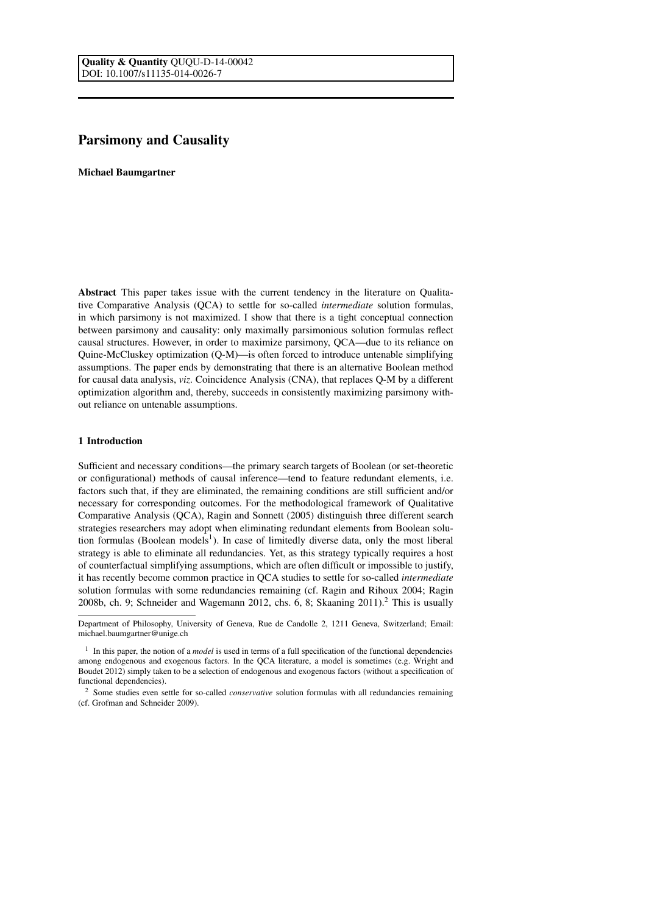# Parsimony and Causality

Michael Baumgartner

Abstract This paper takes issue with the current tendency in the literature on Qualitative Comparative Analysis (QCA) to settle for so-called *intermediate* solution formulas, in which parsimony is not maximized. I show that there is a tight conceptual connection between parsimony and causality: only maximally parsimonious solution formulas reflect causal structures. However, in order to maximize parsimony, QCA—due to its reliance on Quine-McCluskey optimization (Q-M)—is often forced to introduce untenable simplifying assumptions. The paper ends by demonstrating that there is an alternative Boolean method for causal data analysis, *viz.* Coincidence Analysis (CNA), that replaces Q-M by a different optimization algorithm and, thereby, succeeds in consistently maximizing parsimony without reliance on untenable assumptions.

## 1 Introduction

Sufficient and necessary conditions—the primary search targets of Boolean (or set-theoretic or configurational) methods of causal inference—tend to feature redundant elements, i.e. factors such that, if they are eliminated, the remaining conditions are still sufficient and/or necessary for corresponding outcomes. For the methodological framework of Qualitative Comparative Analysis (QCA), Ragin and Sonnett (2005) distinguish three different search strategies researchers may adopt when eliminating redundant elements from Boolean solution formulas (Boolean models<sup>1</sup>). In case of limitedly diverse data, only the most liberal strategy is able to eliminate all redundancies. Yet, as this strategy typically requires a host of counterfactual simplifying assumptions, which are often difficult or impossible to justify, it has recently become common practice in QCA studies to settle for so-called *intermediate* solution formulas with some redundancies remaining (cf. Ragin and Rihoux 2004; Ragin 2008b, ch. 9; Schneider and Wagemann 2012, chs. 6, 8; Skaaning 2011).<sup>2</sup> This is usually

Department of Philosophy, University of Geneva, Rue de Candolle 2, 1211 Geneva, Switzerland; Email: michael.baumgartner@unige.ch

<sup>&</sup>lt;sup>1</sup> In this paper, the notion of a *model* is used in terms of a full specification of the functional dependencies among endogenous and exogenous factors. In the QCA literature, a model is sometimes (e.g. Wright and Boudet 2012) simply taken to be a selection of endogenous and exogenous factors (without a specification of functional dependencies).

<sup>2</sup> Some studies even settle for so-called *conservative* solution formulas with all redundancies remaining (cf. Grofman and Schneider 2009).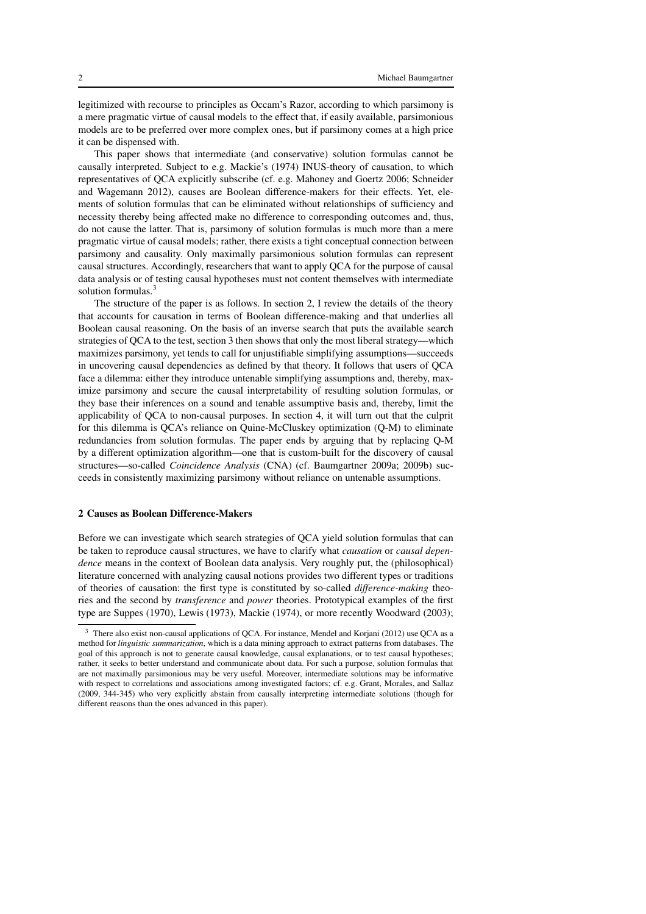legitimized with recourse to principles as Occam's Razor, according to which parsimony is a mere pragmatic virtue of causal models to the effect that, if easily available, parsimonious models are to be preferred over more complex ones, but if parsimony comes at a high price it can be dispensed with.

This paper shows that intermediate (and conservative) solution formulas cannot be causally interpreted. Subject to e.g. Mackie's (1974) INUS-theory of causation, to which representatives of QCA explicitly subscribe (cf. e.g. Mahoney and Goertz 2006; Schneider and Wagemann 2012), causes are Boolean difference-makers for their effects. Yet, elements of solution formulas that can be eliminated without relationships of sufficiency and necessity thereby being affected make no difference to corresponding outcomes and, thus, do not cause the latter. That is, parsimony of solution formulas is much more than a mere pragmatic virtue of causal models; rather, there exists a tight conceptual connection between parsimony and causality. Only maximally parsimonious solution formulas can represent causal structures. Accordingly, researchers that want to apply QCA for the purpose of causal data analysis or of testing causal hypotheses must not content themselves with intermediate solution formulas.<sup>3</sup>

The structure of the paper is as follows. In section 2, I review the details of the theory that accounts for causation in terms of Boolean difference-making and that underlies all Boolean causal reasoning. On the basis of an inverse search that puts the available search strategies of QCA to the test, section 3 then shows that only the most liberal strategy—which maximizes parsimony, yet tends to call for unjustifiable simplifying assumptions—succeeds in uncovering causal dependencies as defined by that theory. It follows that users of QCA face a dilemma: either they introduce untenable simplifying assumptions and, thereby, maximize parsimony and secure the causal interpretability of resulting solution formulas, or they base their inferences on a sound and tenable assumptive basis and, thereby, limit the applicability of QCA to non-causal purposes. In section 4, it will turn out that the culprit for this dilemma is QCA's reliance on Quine-McCluskey optimization (Q-M) to eliminate redundancies from solution formulas. The paper ends by arguing that by replacing Q-M by a different optimization algorithm—one that is custom-built for the discovery of causal structures—so-called *Coincidence Analysis* (CNA) (cf. Baumgartner 2009a; 2009b) succeeds in consistently maximizing parsimony without reliance on untenable assumptions.

### 2 Causes as Boolean Difference-Makers

Before we can investigate which search strategies of QCA yield solution formulas that can be taken to reproduce causal structures, we have to clarify what *causation* or *causal dependence* means in the context of Boolean data analysis. Very roughly put, the (philosophical) literature concerned with analyzing causal notions provides two different types or traditions of theories of causation: the first type is constituted by so-called *difference-making* theories and the second by *transference* and *power* theories. Prototypical examples of the first type are Suppes (1970), Lewis (1973), Mackie (1974), or more recently Woodward (2003);

<sup>&</sup>lt;sup>3</sup> There also exist non-causal applications of QCA. For instance, Mendel and Korjani (2012) use QCA as a method for *linguistic summarization*, which is a data mining approach to extract patterns from databases. The goal of this approach is not to generate causal knowledge, causal explanations, or to test causal hypotheses; rather, it seeks to better understand and communicate about data. For such a purpose, solution formulas that are not maximally parsimonious may be very useful. Moreover, intermediate solutions may be informative with respect to correlations and associations among investigated factors; cf. e.g. Grant, Morales, and Sallaz (2009, 344-345) who very explicitly abstain from causally interpreting intermediate solutions (though for different reasons than the ones advanced in this paper).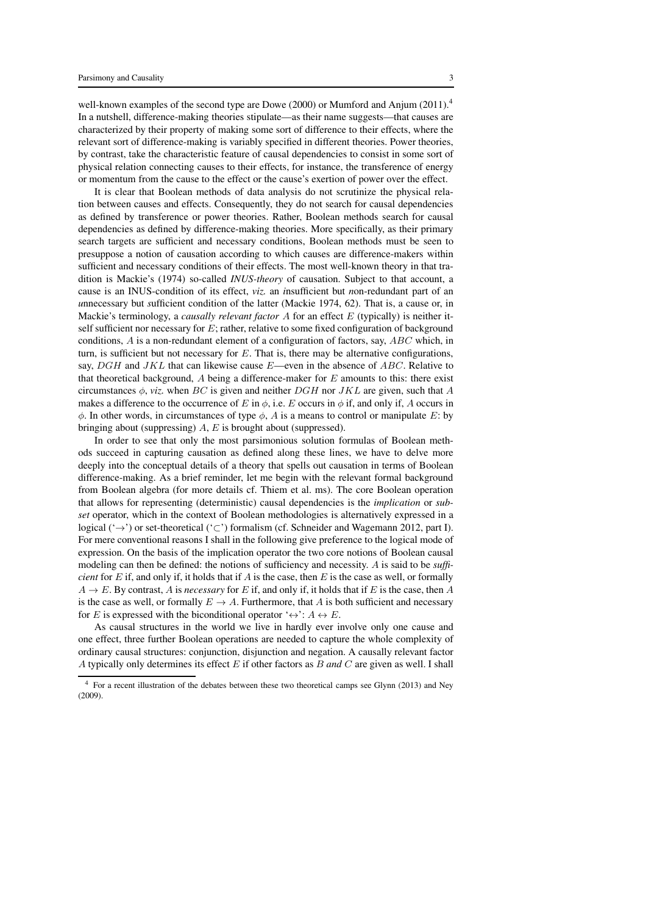well-known examples of the second type are Dowe (2000) or Mumford and Anjum (2011).<sup>4</sup> In a nutshell, difference-making theories stipulate—as their name suggests—that causes are characterized by their property of making some sort of difference to their effects, where the relevant sort of difference-making is variably specified in different theories. Power theories, by contrast, take the characteristic feature of causal dependencies to consist in some sort of physical relation connecting causes to their effects, for instance, the transference of energy or momentum from the cause to the effect or the cause's exertion of power over the effect.

It is clear that Boolean methods of data analysis do not scrutinize the physical relation between causes and effects. Consequently, they do not search for causal dependencies as defined by transference or power theories. Rather, Boolean methods search for causal dependencies as defined by difference-making theories. More specifically, as their primary search targets are sufficient and necessary conditions, Boolean methods must be seen to presuppose a notion of causation according to which causes are difference-makers within sufficient and necessary conditions of their effects. The most well-known theory in that tradition is Mackie's (1974) so-called *INUS-theory* of causation. Subject to that account, a cause is an INUS-condition of its effect, *viz.* an *i*nsufficient but *n*on-redundant part of an *u*nnecessary but *s*ufficient condition of the latter (Mackie 1974, 62). That is, a cause or, in Mackie's terminology, a *causally relevant factor* A for an effect E (typically) is neither itself sufficient nor necessary for  $E$ ; rather, relative to some fixed configuration of background conditions,  $A$  is a non-redundant element of a configuration of factors, say,  $ABC$  which, in turn, is sufficient but not necessary for  $E$ . That is, there may be alternative configurations, say,  $DGH$  and  $JKL$  that can likewise cause  $E$ —even in the absence of  $ABC$ . Relative to that theoretical background,  $\tilde{A}$  being a difference-maker for  $E$  amounts to this: there exist circumstances  $\phi$ , *viz.* when BC is given and neither DGH nor JKL are given, such that A makes a difference to the occurrence of E in  $\phi$ , i.e. E occurs in  $\phi$  if, and only if, A occurs in  $\phi$ . In other words, in circumstances of type  $\phi$ , A is a means to control or manipulate E: by bringing about (suppressing) A, E is brought about (suppressed).

In order to see that only the most parsimonious solution formulas of Boolean methods succeed in capturing causation as defined along these lines, we have to delve more deeply into the conceptual details of a theory that spells out causation in terms of Boolean difference-making. As a brief reminder, let me begin with the relevant formal background from Boolean algebra (for more details cf. Thiem et al. ms). The core Boolean operation that allows for representing (deterministic) causal dependencies is the *implication* or *subset* operator, which in the context of Boolean methodologies is alternatively expressed in a logical ('→') or set-theoretical ('⊂') formalism (cf. Schneider and Wagemann 2012, part I). For mere conventional reasons I shall in the following give preference to the logical mode of expression. On the basis of the implication operator the two core notions of Boolean causal modeling can then be defined: the notions of sufficiency and necessity. A is said to be *sufficient* for  $E$  if, and only if, it holds that if  $A$  is the case, then  $E$  is the case as well, or formally  $A \rightarrow E$ . By contrast, A is *necessary* for E if, and only if, it holds that if E is the case, then A is the case as well, or formally  $E \to A$ . Furthermore, that A is both sufficient and necessary for E is expressed with the biconditional operator ' $\leftrightarrow$ ':  $A \leftrightarrow E$ .

As causal structures in the world we live in hardly ever involve only one cause and one effect, three further Boolean operations are needed to capture the whole complexity of ordinary causal structures: conjunction, disjunction and negation. A causally relevant factor A typically only determines its effect E if other factors as B *and* C are given as well. I shall

<sup>4</sup> For a recent illustration of the debates between these two theoretical camps see Glynn (2013) and Ney (2009).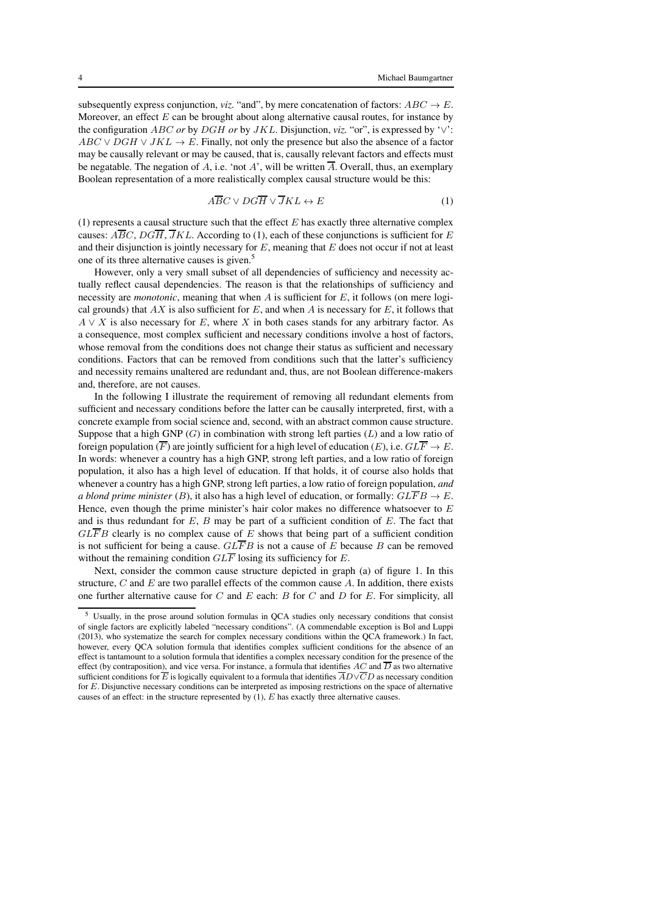subsequently express conjunction, *viz.* "and", by mere concatenation of factors:  $ABC \rightarrow E$ . Moreover, an effect  $E$  can be brought about along alternative causal routes, for instance by the configuration ABC *or* by DGH *or* by JKL. Disjunction, *viz.* "or", is expressed by '∨':  $ABC \vee DGH \vee JKL \rightarrow E$ . Finally, not only the presence but also the absence of a factor may be causally relevant or may be caused, that is, causally relevant factors and effects must be negatable. The negation of A, i.e. 'not A', will be written  $\overline{A}$ . Overall, thus, an exemplary Boolean representation of a more realistically complex causal structure would be this:

$$
A\overline{B}C \vee D G\overline{H} \vee \overline{J}KL \leftrightarrow E \tag{1}
$$

 $(1)$  represents a causal structure such that the effect  $E$  has exactly three alternative complex causes:  $\overline{ABC}$ ,  $\overline{D}\overline{GH}$ ,  $\overline{J}KL$ . According to (1), each of these conjunctions is sufficient for E and their disjunction is jointly necessary for  $E$ , meaning that  $E$  does not occur if not at least one of its three alternative causes is given.<sup>5</sup>

However, only a very small subset of all dependencies of sufficiency and necessity actually reflect causal dependencies. The reason is that the relationships of sufficiency and necessity are *monotonic*, meaning that when A is sufficient for E, it follows (on mere logical grounds) that  $AX$  is also sufficient for  $E$ , and when  $A$  is necessary for  $E$ , it follows that  $A \vee X$  is also necessary for E, where X in both cases stands for any arbitrary factor. As a consequence, most complex sufficient and necessary conditions involve a host of factors, whose removal from the conditions does not change their status as sufficient and necessary conditions. Factors that can be removed from conditions such that the latter's sufficiency and necessity remains unaltered are redundant and, thus, are not Boolean difference-makers and, therefore, are not causes.

In the following I illustrate the requirement of removing all redundant elements from sufficient and necessary conditions before the latter can be causally interpreted, first, with a concrete example from social science and, second, with an abstract common cause structure. Suppose that a high GNP  $(G)$  in combination with strong left parties  $(L)$  and a low ratio of foreign population  $(F)$  are jointly sufficient for a high level of education  $(E)$ , i.e.  $GL\overline{F} \to E$ . In words: whenever a country has a high GNP, strong left parties, and a low ratio of foreign population, it also has a high level of education. If that holds, it of course also holds that whenever a country has a high GNP, strong left parties, a low ratio of foreign population, *and a blond prime minister* (*B*), it also has a high level of education, or formally:  $GL\overline{F}B \to E$ . Hence, even though the prime minister's hair color makes no difference whatsoever to  $E$ and is thus redundant for  $E$ ,  $B$  may be part of a sufficient condition of  $E$ . The fact that  $GL\overline{F}B$  clearly is no complex cause of E shows that being part of a sufficient condition is not sufficient for being a cause.  $GL\overline{F}B$  is not a cause of E because B can be removed without the remaining condition  $GL\overline{F}$  losing its sufficiency for E.

Next, consider the common cause structure depicted in graph (a) of figure 1. In this structure,  $C$  and  $E$  are two parallel effects of the common cause  $A$ . In addition, there exists one further alternative cause for  $C$  and  $E$  each:  $B$  for  $C$  and  $D$  for  $E$ . For simplicity, all

<sup>5</sup> Usually, in the prose around solution formulas in QCA studies only necessary conditions that consist of single factors are explicitly labeled "necessary conditions". (A commendable exception is Bol and Luppi (2013), who systematize the search for complex necessary conditions within the QCA framework.) In fact, however, every QCA solution formula that identifies complex sufficient conditions for the absence of an effect is tantamount to a solution formula that identifies a complex necessary condition for the presence of the effect (by contraposition), and vice versa. For instance, a formula that identifies  $AC$  and  $\overline{D}$  as two alternative sufficient conditions for  $\overline{E}$  is logically equivalent to a formula that identifies  $\overline{AD} \vee \overline{CD}$  as necessary condition for  $E$ . Disjunctive necessary conditions can be interpreted as imposing restrictions on the space of alternative causes of an effect: in the structure represented by  $(1)$ ,  $E$  has exactly three alternative causes.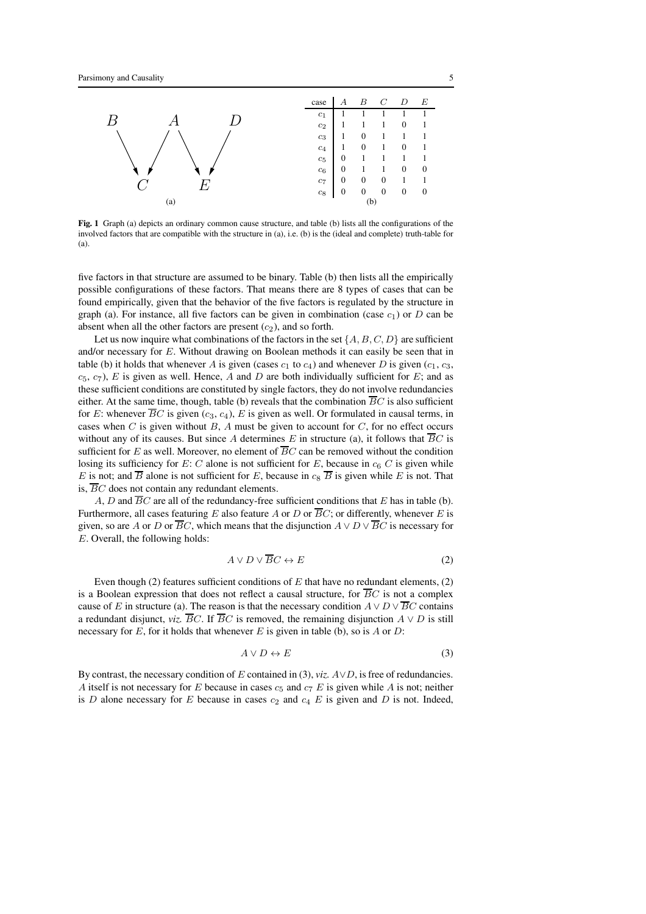

Fig. 1 Graph (a) depicts an ordinary common cause structure, and table (b) lists all the configurations of the involved factors that are compatible with the structure in (a), i.e. (b) is the (ideal and complete) truth-table for (a).

five factors in that structure are assumed to be binary. Table (b) then lists all the empirically possible configurations of these factors. That means there are 8 types of cases that can be found empirically, given that the behavior of the five factors is regulated by the structure in graph (a). For instance, all five factors can be given in combination (case  $c_1$ ) or D can be absent when all the other factors are present  $(c_2)$ , and so forth.

Let us now inquire what combinations of the factors in the set  $\{A, B, C, D\}$  are sufficient and/or necessary for E. Without drawing on Boolean methods it can easily be seen that in table (b) it holds that whenever A is given (cases  $c_1$  to  $c_4$ ) and whenever D is given ( $c_1, c_3$ ,  $c_5$ ,  $c_7$ ), E is given as well. Hence, A and D are both individually sufficient for E; and as these sufficient conditions are constituted by single factors, they do not involve redundancies either. At the same time, though, table (b) reveals that the combination  $\overline{BC}$  is also sufficient for E: whenever  $\overline{BC}$  is given  $(c_3, c_4)$ , E is given as well. Or formulated in causal terms, in cases when C is given without  $B$ , A must be given to account for  $C$ , for no effect occurs without any of its causes. But since A determines E in structure (a), it follows that  $\overline{BC}$  is sufficient for E as well. Moreover, no element of  $\overline{BC}$  can be removed without the condition losing its sufficiency for  $E: C$  alone is not sufficient for  $E$ , because in  $c<sub>6</sub> C$  is given while E is not; and  $\overline{B}$  alone is not sufficient for E, because in  $c_8$   $\overline{B}$  is given while E is not. That is,  $\overline{BC}$  does not contain any redundant elements.

A, D and  $\overline{BC}$  are all of the redundancy-free sufficient conditions that E has in table (b). Furthermore, all cases featuring E also feature A or D or  $\overline{BC}$ ; or differently, whenever E is given, so are A or D or  $\overline{BC}$ , which means that the disjunction  $A \vee D \vee \overline{BC}$  is necessary for E. Overall, the following holds:

$$
A \lor D \lor BC \leftrightarrow E \tag{2}
$$

Even though (2) features sufficient conditions of  $E$  that have no redundant elements, (2) is a Boolean expression that does not reflect a causal structure, for  $\overline{BC}$  is not a complex cause of E in structure (a). The reason is that the necessary condition  $A \vee D \vee \overline{B}C$  contains a redundant disjunct, *viz.*  $\overline{B}C$ . If  $\overline{B}C$  is removed, the remaining disjunction  $A \vee D$  is still necessary for  $E$ , for it holds that whenever  $E$  is given in table (b), so is  $A$  or  $D$ :

$$
A \lor D \leftrightarrow E \tag{3}
$$

By contrast, the necessary condition of E contained in (3), *viz.*  $A \lor D$ , is free of redundancies. A itself is not necessary for E because in cases  $c_5$  and  $c_7$  E is given while A is not; neither is  $D$  alone necessary for  $E$  because in cases  $c_2$  and  $c_4$   $E$  is given and  $D$  is not. Indeed,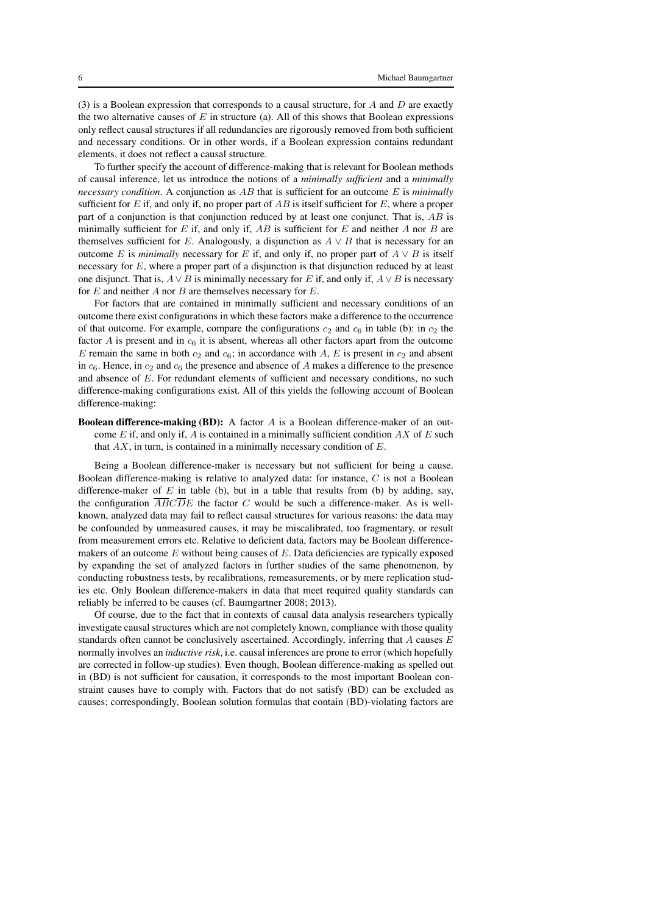(3) is a Boolean expression that corresponds to a causal structure, for A and D are exactly the two alternative causes of  $E$  in structure (a). All of this shows that Boolean expressions only reflect causal structures if all redundancies are rigorously removed from both sufficient and necessary conditions. Or in other words, if a Boolean expression contains redundant elements, it does not reflect a causal structure.

To further specify the account of difference-making that is relevant for Boolean methods of causal inference, let us introduce the notions of a *minimally sufficient* and a *minimally necessary condition*. A conjunction as AB that is sufficient for an outcome E is *minimally* sufficient for E if, and only if, no proper part of  $AB$  is itself sufficient for E, where a proper part of a conjunction is that conjunction reduced by at least one conjunct. That is, AB is minimally sufficient for  $E$  if, and only if,  $AB$  is sufficient for  $E$  and neither  $A$  nor  $B$  are themselves sufficient for E. Analogously, a disjunction as  $A \vee B$  that is necessary for an outcome E is *minimally* necessary for E if, and only if, no proper part of  $A \vee B$  is itself necessary for  $E$ , where a proper part of a disjunction is that disjunction reduced by at least one disjunct. That is,  $A \vee B$  is minimally necessary for E if, and only if,  $A \vee B$  is necessary for  $E$  and neither  $A$  nor  $B$  are themselves necessary for  $E$ .

For factors that are contained in minimally sufficient and necessary conditions of an outcome there exist configurations in which these factors make a difference to the occurrence of that outcome. For example, compare the configurations  $c_2$  and  $c_6$  in table (b): in  $c_2$  the factor A is present and in  $c<sub>6</sub>$  it is absent, whereas all other factors apart from the outcome E remain the same in both  $c_2$  and  $c_6$ ; in accordance with A, E is present in  $c_2$  and absent in  $c_6$ . Hence, in  $c_2$  and  $c_6$  the presence and absence of A makes a difference to the presence and absence of E. For redundant elements of sufficient and necessary conditions, no such difference-making configurations exist. All of this yields the following account of Boolean difference-making:

**Boolean difference-making (BD):** A factor A is a Boolean difference-maker of an outcome E if, and only if, A is contained in a minimally sufficient condition  $AX$  of E such that  $AX$ , in turn, is contained in a minimally necessary condition of  $E$ .

Being a Boolean difference-maker is necessary but not sufficient for being a cause. Boolean difference-making is relative to analyzed data: for instance,  $C$  is not a Boolean difference-maker of  $E$  in table (b), but in a table that results from (b) by adding, say, the configuration  $\overline{ABCDE}$  the factor C would be such a difference-maker. As is wellknown, analyzed data may fail to reflect causal structures for various reasons: the data may be confounded by unmeasured causes, it may be miscalibrated, too fragmentary, or result from measurement errors etc. Relative to deficient data, factors may be Boolean differencemakers of an outcome  $E$  without being causes of  $E$ . Data deficiencies are typically exposed by expanding the set of analyzed factors in further studies of the same phenomenon, by conducting robustness tests, by recalibrations, remeasurements, or by mere replication studies etc. Only Boolean difference-makers in data that meet required quality standards can reliably be inferred to be causes (cf. Baumgartner 2008; 2013).

Of course, due to the fact that in contexts of causal data analysis researchers typically investigate causal structures which are not completely known, compliance with those quality standards often cannot be conclusively ascertained. Accordingly, inferring that  $A$  causes  $E$ normally involves an *inductive risk*, i.e. causal inferences are prone to error (which hopefully are corrected in follow-up studies). Even though, Boolean difference-making as spelled out in (BD) is not sufficient for causation, it corresponds to the most important Boolean constraint causes have to comply with. Factors that do not satisfy (BD) can be excluded as causes; correspondingly, Boolean solution formulas that contain (BD)-violating factors are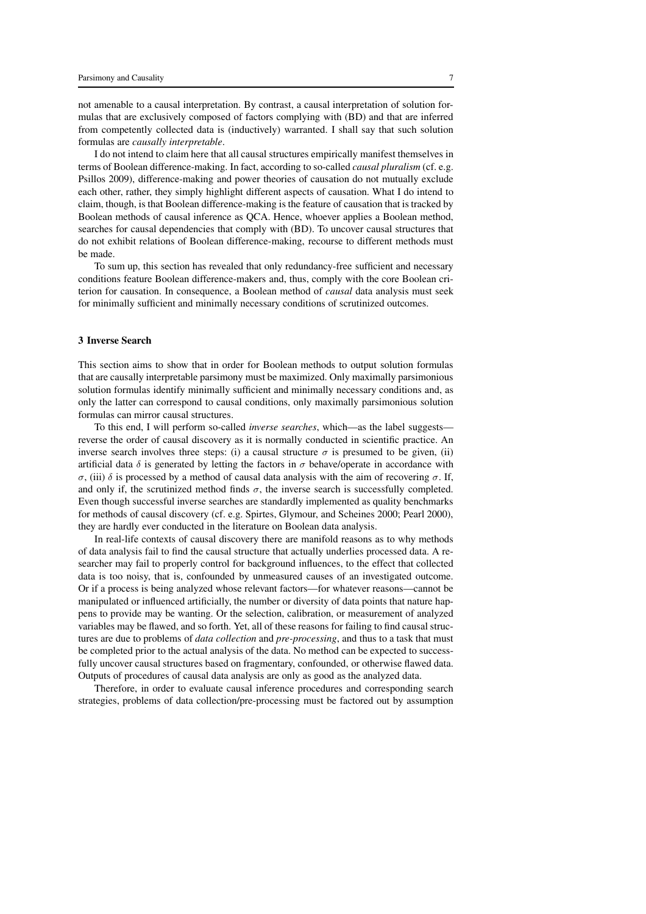not amenable to a causal interpretation. By contrast, a causal interpretation of solution formulas that are exclusively composed of factors complying with (BD) and that are inferred from competently collected data is (inductively) warranted. I shall say that such solution formulas are *causally interpretable*.

I do not intend to claim here that all causal structures empirically manifest themselves in terms of Boolean difference-making. In fact, according to so-called *causal pluralism* (cf. e.g. Psillos 2009), difference-making and power theories of causation do not mutually exclude each other, rather, they simply highlight different aspects of causation. What I do intend to claim, though, is that Boolean difference-making is the feature of causation that is tracked by Boolean methods of causal inference as QCA. Hence, whoever applies a Boolean method, searches for causal dependencies that comply with (BD). To uncover causal structures that do not exhibit relations of Boolean difference-making, recourse to different methods must be made.

To sum up, this section has revealed that only redundancy-free sufficient and necessary conditions feature Boolean difference-makers and, thus, comply with the core Boolean criterion for causation. In consequence, a Boolean method of *causal* data analysis must seek for minimally sufficient and minimally necessary conditions of scrutinized outcomes.

### 3 Inverse Search

This section aims to show that in order for Boolean methods to output solution formulas that are causally interpretable parsimony must be maximized. Only maximally parsimonious solution formulas identify minimally sufficient and minimally necessary conditions and, as only the latter can correspond to causal conditions, only maximally parsimonious solution formulas can mirror causal structures.

To this end, I will perform so-called *inverse searches*, which—as the label suggests reverse the order of causal discovery as it is normally conducted in scientific practice. An inverse search involves three steps: (i) a causal structure  $\sigma$  is presumed to be given, (ii) artificial data  $\delta$  is generated by letting the factors in  $\sigma$  behave/operate in accordance with σ, (iii) δ is processed by a method of causal data analysis with the aim of recovering σ. If, and only if, the scrutinized method finds  $\sigma$ , the inverse search is successfully completed. Even though successful inverse searches are standardly implemented as quality benchmarks for methods of causal discovery (cf. e.g. Spirtes, Glymour, and Scheines 2000; Pearl 2000), they are hardly ever conducted in the literature on Boolean data analysis.

In real-life contexts of causal discovery there are manifold reasons as to why methods of data analysis fail to find the causal structure that actually underlies processed data. A researcher may fail to properly control for background influences, to the effect that collected data is too noisy, that is, confounded by unmeasured causes of an investigated outcome. Or if a process is being analyzed whose relevant factors—for whatever reasons—cannot be manipulated or influenced artificially, the number or diversity of data points that nature happens to provide may be wanting. Or the selection, calibration, or measurement of analyzed variables may be flawed, and so forth. Yet, all of these reasons for failing to find causal structures are due to problems of *data collection* and *pre-processing*, and thus to a task that must be completed prior to the actual analysis of the data. No method can be expected to successfully uncover causal structures based on fragmentary, confounded, or otherwise flawed data. Outputs of procedures of causal data analysis are only as good as the analyzed data.

Therefore, in order to evaluate causal inference procedures and corresponding search strategies, problems of data collection/pre-processing must be factored out by assumption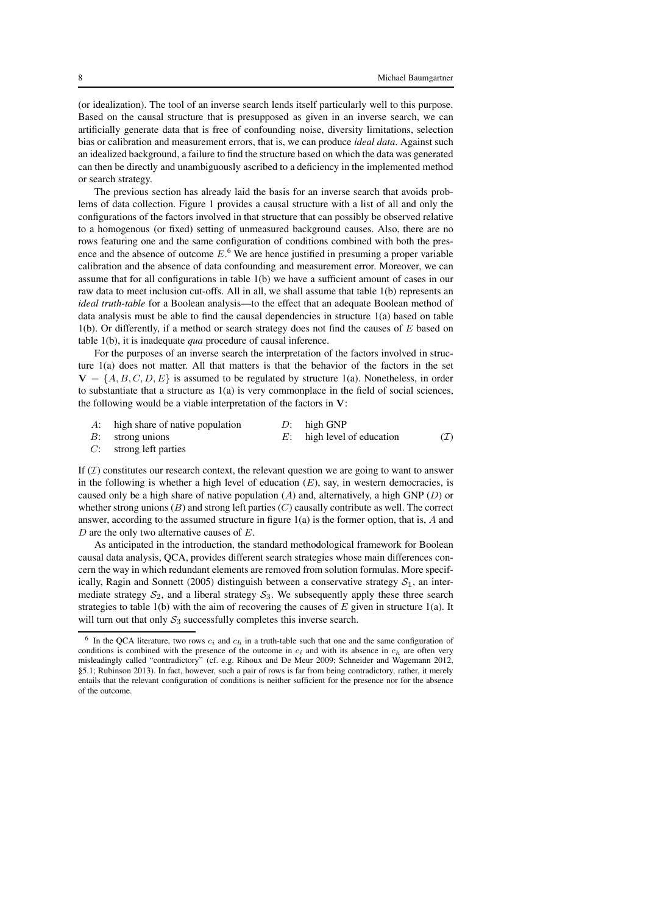(or idealization). The tool of an inverse search lends itself particularly well to this purpose. Based on the causal structure that is presupposed as given in an inverse search, we can artificially generate data that is free of confounding noise, diversity limitations, selection bias or calibration and measurement errors, that is, we can produce *ideal data*. Against such an idealized background, a failure to find the structure based on which the data was generated can then be directly and unambiguously ascribed to a deficiency in the implemented method or search strategy.

The previous section has already laid the basis for an inverse search that avoids problems of data collection. Figure 1 provides a causal structure with a list of all and only the configurations of the factors involved in that structure that can possibly be observed relative to a homogenous (or fixed) setting of unmeasured background causes. Also, there are no rows featuring one and the same configuration of conditions combined with both the presence and the absence of outcome  $E^6$ . We are hence justified in presuming a proper variable calibration and the absence of data confounding and measurement error. Moreover, we can assume that for all configurations in table 1(b) we have a sufficient amount of cases in our raw data to meet inclusion cut-offs. All in all, we shall assume that table 1(b) represents an *ideal truth-table* for a Boolean analysis—to the effect that an adequate Boolean method of data analysis must be able to find the causal dependencies in structure 1(a) based on table 1(b). Or differently, if a method or search strategy does not find the causes of  $E$  based on table 1(b), it is inadequate *qua* procedure of causal inference.

For the purposes of an inverse search the interpretation of the factors involved in structure 1(a) does not matter. All that matters is that the behavior of the factors in the set  $V = \{A, B, C, D, E\}$  is assumed to be regulated by structure 1(a). Nonetheless, in order to substantiate that a structure as 1(a) is very commonplace in the field of social sciences, the following would be a viable interpretation of the factors in  $V$ :

| A: | high share of native population | $D$ : high GNP                |                 |
|----|---------------------------------|-------------------------------|-----------------|
|    | $B$ : strong unions             | $E$ : high level of education | $(\mathcal{I})$ |
|    |                                 |                               |                 |

C: strong left parties

If  $(I)$  constitutes our research context, the relevant question we are going to want to answer in the following is whether a high level of education  $(E)$ , say, in western democracies, is caused only be a high share of native population  $(A)$  and, alternatively, a high GNP  $(D)$  or whether strong unions  $(B)$  and strong left parties  $(C)$  causally contribute as well. The correct answer, according to the assumed structure in figure  $1(a)$  is the former option, that is, A and  $D$  are the only two alternative causes of  $E$ .

As anticipated in the introduction, the standard methodological framework for Boolean causal data analysis, QCA, provides different search strategies whose main differences concern the way in which redundant elements are removed from solution formulas. More specifically, Ragin and Sonnett (2005) distinguish between a conservative strategy  $S_1$ , an intermediate strategy  $S_2$ , and a liberal strategy  $S_3$ . We subsequently apply these three search strategies to table 1(b) with the aim of recovering the causes of  $E$  given in structure 1(a). It will turn out that only  $S_3$  successfully completes this inverse search.

<sup>&</sup>lt;sup>6</sup> In the QCA literature, two rows  $c_i$  and  $c_h$  in a truth-table such that one and the same configuration of conditions is combined with the presence of the outcome in  $c_i$  and with its absence in  $c_h$  are often very misleadingly called "contradictory" (cf. e.g. Rihoux and De Meur 2009; Schneider and Wagemann 2012, §5.1; Rubinson 2013). In fact, however, such a pair of rows is far from being contradictory, rather, it merely entails that the relevant configuration of conditions is neither sufficient for the presence nor for the absence of the outcome.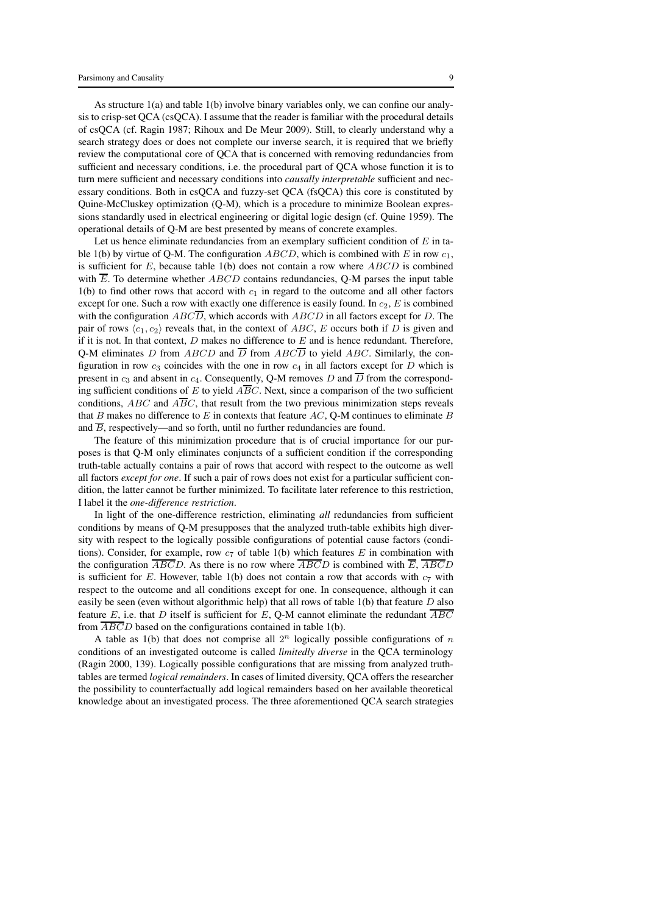As structure 1(a) and table 1(b) involve binary variables only, we can confine our analysis to crisp-set QCA (csQCA). I assume that the reader is familiar with the procedural details of csQCA (cf. Ragin 1987; Rihoux and De Meur 2009). Still, to clearly understand why a search strategy does or does not complete our inverse search, it is required that we briefly review the computational core of QCA that is concerned with removing redundancies from sufficient and necessary conditions, i.e. the procedural part of QCA whose function it is to turn mere sufficient and necessary conditions into *causally interpretable* sufficient and necessary conditions. Both in csQCA and fuzzy-set QCA (fsQCA) this core is constituted by Quine-McCluskey optimization (Q-M), which is a procedure to minimize Boolean expressions standardly used in electrical engineering or digital logic design (cf. Quine 1959). The operational details of Q-M are best presented by means of concrete examples.

Let us hence eliminate redundancies from an exemplary sufficient condition of  $E$  in table 1(b) by virtue of Q-M. The configuration  $ABCD$ , which is combined with E in row  $c_1$ , is sufficient for  $E$ , because table 1(b) does not contain a row where  $ABCD$  is combined with  $\overline{E}$ . To determine whether ABCD contains redundancies, O-M parses the input table 1(b) to find other rows that accord with  $c_1$  in regard to the outcome and all other factors except for one. Such a row with exactly one difference is easily found. In  $c_2$ , E is combined with the configuration  $ABCD$ , which accords with  $ABCD$  in all factors except for D. The pair of rows  $\langle c_1, c_2 \rangle$  reveals that, in the context of ABC, E occurs both if D is given and if it is not. In that context,  $D$  makes no difference to  $E$  and is hence redundant. Therefore, Q-M eliminates D from ABCD and  $\overline{D}$  from ABC $\overline{D}$  to yield ABC. Similarly, the configuration in row  $c_3$  coincides with the one in row  $c_4$  in all factors except for D which is present in  $c_3$  and absent in  $c_4$ . Consequently, Q-M removes D and  $\overline{D}$  from the corresponding sufficient conditions of E to yield  $\overline{ABC}$ . Next, since a comparison of the two sufficient conditions,  $ABC$  and  $\overline{ABC}$ , that result from the two previous minimization steps reveals that B makes no difference to E in contexts that feature  $AC$ , O-M continues to eliminate B and  $\overline{B}$ , respectively—and so forth, until no further redundancies are found.

The feature of this minimization procedure that is of crucial importance for our purposes is that Q-M only eliminates conjuncts of a sufficient condition if the corresponding truth-table actually contains a pair of rows that accord with respect to the outcome as well all factors *except for one*. If such a pair of rows does not exist for a particular sufficient condition, the latter cannot be further minimized. To facilitate later reference to this restriction, I label it the *one-difference restriction*.

In light of the one-difference restriction, eliminating *all* redundancies from sufficient conditions by means of Q-M presupposes that the analyzed truth-table exhibits high diversity with respect to the logically possible configurations of potential cause factors (conditions). Consider, for example, row  $c_7$  of table 1(b) which features E in combination with the configuration  $\overline{ABCD}$ . As there is no row where  $\overline{ABCD}$  is combined with  $\overline{E}$ ,  $\overline{ABCD}$ is sufficient for E. However, table 1(b) does not contain a row that accords with  $c_7$  with respect to the outcome and all conditions except for one. In consequence, although it can easily be seen (even without algorithmic help) that all rows of table  $1(b)$  that feature  $D$  also feature E, i.e. that D itself is sufficient for E, O-M cannot eliminate the redundant  $\overline{ABC}$ from  $\overline{ABCD}$  based on the configurations contained in table 1(b).

A table as 1(b) that does not comprise all  $2^n$  logically possible configurations of n conditions of an investigated outcome is called *limitedly diverse* in the QCA terminology (Ragin 2000, 139). Logically possible configurations that are missing from analyzed truthtables are termed *logical remainders*. In cases of limited diversity, QCA offers the researcher the possibility to counterfactually add logical remainders based on her available theoretical knowledge about an investigated process. The three aforementioned QCA search strategies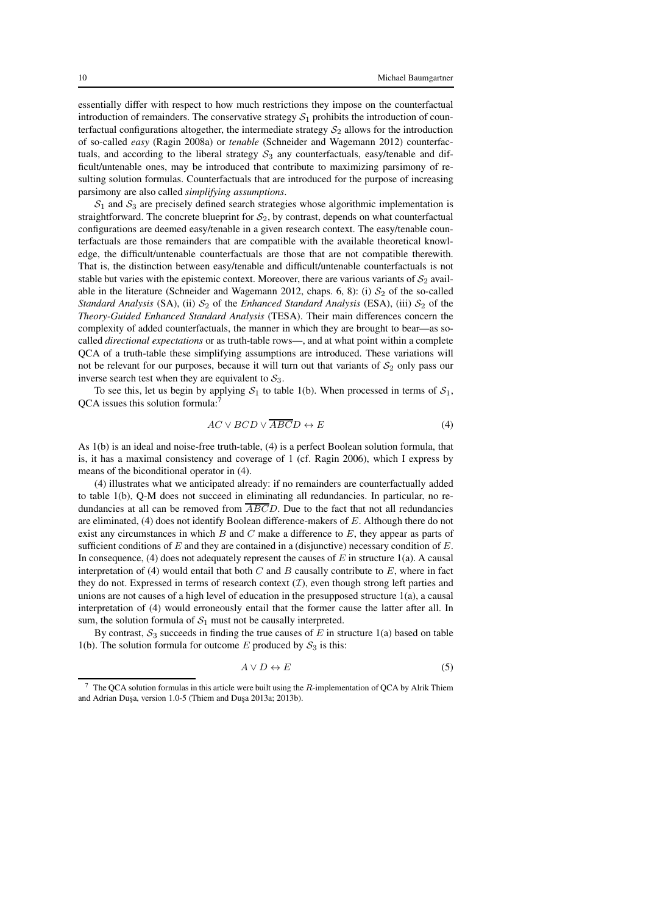essentially differ with respect to how much restrictions they impose on the counterfactual introduction of remainders. The conservative strategy  $S_1$  prohibits the introduction of counterfactual configurations altogether, the intermediate strategy  $S_2$  allows for the introduction of so-called *easy* (Ragin 2008a) or *tenable* (Schneider and Wagemann 2012) counterfactuals, and according to the liberal strategy  $S_3$  any counterfactuals, easy/tenable and difficult/untenable ones, may be introduced that contribute to maximizing parsimony of resulting solution formulas. Counterfactuals that are introduced for the purpose of increasing parsimony are also called *simplifying assumptions*.

 $S_1$  and  $S_3$  are precisely defined search strategies whose algorithmic implementation is straightforward. The concrete blueprint for  $S_2$ , by contrast, depends on what counterfactual configurations are deemed easy/tenable in a given research context. The easy/tenable counterfactuals are those remainders that are compatible with the available theoretical knowledge, the difficult/untenable counterfactuals are those that are not compatible therewith. That is, the distinction between easy/tenable and difficult/untenable counterfactuals is not stable but varies with the epistemic context. Moreover, there are various variants of  $S_2$  available in the literature (Schneider and Wagemann 2012, chaps. 6, 8): (i)  $S_2$  of the so-called *Standard Analysis* (SA), (ii)  $S_2$  of the *Enhanced Standard Analysis* (ESA), (iii)  $S_2$  of the *Theory-Guided Enhanced Standard Analysis* (TESA). Their main differences concern the complexity of added counterfactuals, the manner in which they are brought to bear—as socalled *directional expectations* or as truth-table rows—, and at what point within a complete QCA of a truth-table these simplifying assumptions are introduced. These variations will not be relevant for our purposes, because it will turn out that variants of  $S_2$  only pass our inverse search test when they are equivalent to  $S_3$ .

To see this, let us begin by applying  $S_1$  to table 1(b). When processed in terms of  $S_1$ , QCA issues this solution formula:<sup>7</sup>

$$
AC \vee BCD \vee \overline{ABCD} \leftrightarrow E \tag{4}
$$

As 1(b) is an ideal and noise-free truth-table, (4) is a perfect Boolean solution formula, that is, it has a maximal consistency and coverage of 1 (cf. Ragin 2006), which I express by means of the biconditional operator in (4).

(4) illustrates what we anticipated already: if no remainders are counterfactually added to table 1(b), Q-M does not succeed in eliminating all redundancies. In particular, no redundancies at all can be removed from  $\overline{ABCD}$ . Due to the fact that not all redundancies are eliminated,  $(4)$  does not identify Boolean difference-makers of  $E$ . Although there do not exist any circumstances in which  $B$  and  $C$  make a difference to  $E$ , they appear as parts of sufficient conditions of E and they are contained in a (disjunctive) necessary condition of E. In consequence, (4) does not adequately represent the causes of  $E$  in structure 1(a). A causal interpretation of (4) would entail that both  $C$  and  $B$  causally contribute to  $E$ , where in fact they do not. Expressed in terms of research context  $(\mathcal{I})$ , even though strong left parties and unions are not causes of a high level of education in the presupposed structure 1(a), a causal interpretation of (4) would erroneously entail that the former cause the latter after all. In sum, the solution formula of  $S_1$  must not be causally interpreted.

By contrast,  $S_3$  succeeds in finding the true causes of E in structure 1(a) based on table 1(b). The solution formula for outcome E produced by  $S_3$  is this:

$$
A \lor D \leftrightarrow E \tag{5}
$$

 $7$  The QCA solution formulas in this article were built using the R-implementation of QCA by Alrik Thiem and Adrian Duşa, version 1.0-5 (Thiem and Duşa 2013a; 2013b).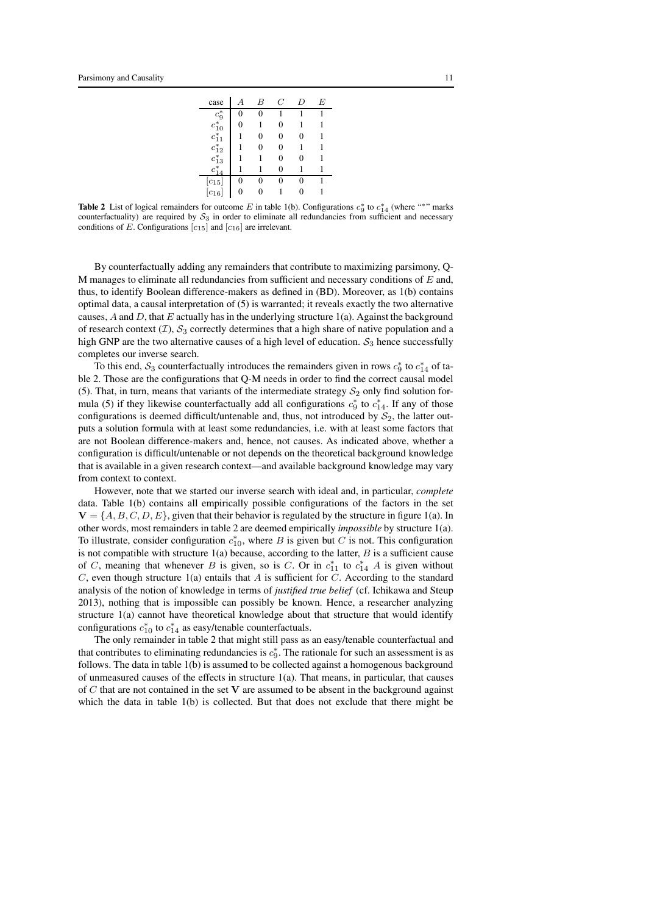| case                                        |   | B        | C | I) | E |
|---------------------------------------------|---|----------|---|----|---|
|                                             | 0 | 0        |   |    |   |
| $\overline{c_9^*}$<br>$\overline{c_{10}^*}$ | 0 | 1        | 0 |    |   |
| $c_{11}^*$                                  |   | $\Omega$ | 0 |    |   |
| $c_{12}^*$                                  |   | $\theta$ | 0 |    |   |
| $c_{13}^*$                                  |   |          | 0 |    |   |
|                                             |   |          | 0 |    |   |
| $\left[c_{15}\right]$                       | 0 | 0        | 0 |    |   |
| $[c_{16}]$                                  |   |          |   |    |   |

**Table 2** List of logical remainders for outcome E in table 1(b). Configurations  $c_9^*$  to  $c_{14}^*$  (where "\*" marks counterfactuality) are required by  $S_3$  in order to eliminate all redundancies from sufficient and necessary conditions of E. Configurations  $[c_{15}]$  and  $[c_{16}]$  are irrelevant.

By counterfactually adding any remainders that contribute to maximizing parsimony, Q-M manages to eliminate all redundancies from sufficient and necessary conditions of  $E$  and, thus, to identify Boolean difference-makers as defined in (BD). Moreover, as 1(b) contains optimal data, a causal interpretation of (5) is warranted; it reveals exactly the two alternative causes,  $A$  and  $D$ , that  $E$  actually has in the underlying structure 1(a). Against the background of research context  $(\mathcal{I})$ ,  $\mathcal{S}_3$  correctly determines that a high share of native population and a high GNP are the two alternative causes of a high level of education.  $S_3$  hence successfully completes our inverse search.

To this end,  $S_3$  counterfactually introduces the remainders given in rows  $c_9^*$  to  $c_{14}^*$  of table 2. Those are the configurations that Q-M needs in order to find the correct causal model (5). That, in turn, means that variants of the intermediate strategy  $S_2$  only find solution formula (5) if they likewise counterfactually add all configurations  $c_9^*$  to  $c_{14}^*$ . If any of those configurations is deemed difficult/untenable and, thus, not introduced by  $S_2$ , the latter outputs a solution formula with at least some redundancies, i.e. with at least some factors that are not Boolean difference-makers and, hence, not causes. As indicated above, whether a configuration is difficult/untenable or not depends on the theoretical background knowledge that is available in a given research context—and available background knowledge may vary from context to context.

However, note that we started our inverse search with ideal and, in particular, *complete* data. Table 1(b) contains all empirically possible configurations of the factors in the set  $V = \{A, B, C, D, E\}$ , given that their behavior is regulated by the structure in figure 1(a). In other words, most remainders in table 2 are deemed empirically *impossible* by structure 1(a). To illustrate, consider configuration  $c_{10}^*$ , where B is given but C is not. This configuration is not compatible with structure  $1(a)$  because, according to the latter,  $B$  is a sufficient cause of C, meaning that whenever B is given, so is C. Or in  $c_{11}^*$  to  $c_{14}^*$  A is given without  $C$ , even though structure  $1(a)$  entails that  $A$  is sufficient for  $C$ . According to the standard analysis of the notion of knowledge in terms of *justified true belief* (cf. Ichikawa and Steup 2013), nothing that is impossible can possibly be known. Hence, a researcher analyzing structure 1(a) cannot have theoretical knowledge about that structure that would identify configurations  $c_{10}^*$  to  $c_{14}^*$  as easy/tenable counterfactuals.

The only remainder in table 2 that might still pass as an easy/tenable counterfactual and that contributes to eliminating redundancies is  $c_9^*$ . The rationale for such an assessment is as follows. The data in table 1(b) is assumed to be collected against a homogenous background of unmeasured causes of the effects in structure 1(a). That means, in particular, that causes of  $C$  that are not contained in the set  $V$  are assumed to be absent in the background against which the data in table 1(b) is collected. But that does not exclude that there might be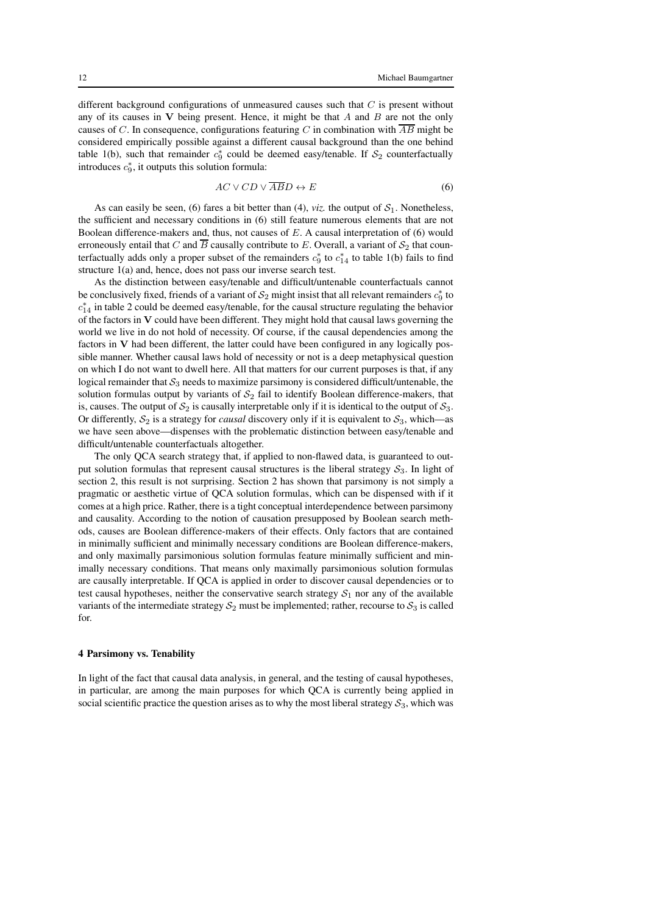different background configurations of unmeasured causes such that  $C$  is present without any of its causes in  $V$  being present. Hence, it might be that  $A$  and  $B$  are not the only causes of C. In consequence, configurations featuring C in combination with  $\overline{AB}$  might be considered empirically possible against a different causal background than the one behind table 1(b), such that remainder  $c_9^*$  could be deemed easy/tenable. If  $S_2$  counterfactually introduces  $c_9^*$ , it outputs this solution formula:

$$
AC \vee CD \vee \overline{AB}D \leftrightarrow E \tag{6}
$$

As can easily be seen, (6) fares a bit better than (4), *viz*. the output of  $S<sub>1</sub>$ . Nonetheless, the sufficient and necessary conditions in (6) still feature numerous elements that are not Boolean difference-makers and, thus, not causes of  $E$ . A causal interpretation of  $(6)$  would erroneously entail that C and  $\overline{B}$  causally contribute to E. Overall, a variant of  $S_2$  that counterfactually adds only a proper subset of the remainders  $c_9^*$  to  $c_{14}^*$  to table 1(b) fails to find structure 1(a) and, hence, does not pass our inverse search test.

As the distinction between easy/tenable and difficult/untenable counterfactuals cannot be conclusively fixed, friends of a variant of  $S_2$  might insist that all relevant remainders  $c_9^*$  to  $c_{14}^*$  in table 2 could be deemed easy/tenable, for the causal structure regulating the behavior of the factors in  $V$  could have been different. They might hold that causal laws governing the world we live in do not hold of necessity. Of course, if the causal dependencies among the factors in V had been different, the latter could have been configured in any logically possible manner. Whether causal laws hold of necessity or not is a deep metaphysical question on which I do not want to dwell here. All that matters for our current purposes is that, if any logical remainder that  $S_3$  needs to maximize parsimony is considered difficult/untenable, the solution formulas output by variants of  $S_2$  fail to identify Boolean difference-makers, that is, causes. The output of  $S_2$  is causally interpretable only if it is identical to the output of  $S_3$ . Or differently,  $S_2$  is a strategy for *causal* discovery only if it is equivalent to  $S_3$ , which—as we have seen above—dispenses with the problematic distinction between easy/tenable and difficult/untenable counterfactuals altogether.

The only QCA search strategy that, if applied to non-flawed data, is guaranteed to output solution formulas that represent causal structures is the liberal strategy  $S_3$ . In light of section 2, this result is not surprising. Section 2 has shown that parsimony is not simply a pragmatic or aesthetic virtue of QCA solution formulas, which can be dispensed with if it comes at a high price. Rather, there is a tight conceptual interdependence between parsimony and causality. According to the notion of causation presupposed by Boolean search methods, causes are Boolean difference-makers of their effects. Only factors that are contained in minimally sufficient and minimally necessary conditions are Boolean difference-makers, and only maximally parsimonious solution formulas feature minimally sufficient and minimally necessary conditions. That means only maximally parsimonious solution formulas are causally interpretable. If QCA is applied in order to discover causal dependencies or to test causal hypotheses, neither the conservative search strategy  $S_1$  nor any of the available variants of the intermediate strategy  $S_2$  must be implemented; rather, recourse to  $S_3$  is called for.

#### 4 Parsimony vs. Tenability

In light of the fact that causal data analysis, in general, and the testing of causal hypotheses, in particular, are among the main purposes for which QCA is currently being applied in social scientific practice the question arises as to why the most liberal strategy  $S_3$ , which was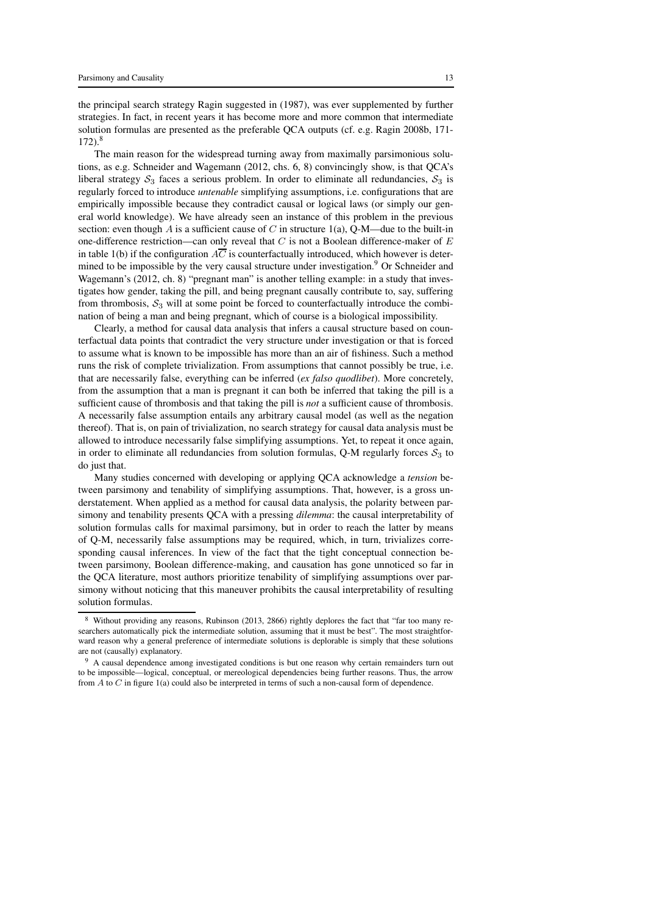the principal search strategy Ragin suggested in (1987), was ever supplemented by further strategies. In fact, in recent years it has become more and more common that intermediate solution formulas are presented as the preferable QCA outputs (cf. e.g. Ragin 2008b, 171-  $172$ ).<sup>8</sup>

The main reason for the widespread turning away from maximally parsimonious solutions, as e.g. Schneider and Wagemann (2012, chs. 6, 8) convincingly show, is that QCA's liberal strategy  $S_3$  faces a serious problem. In order to eliminate all redundancies,  $S_3$  is regularly forced to introduce *untenable* simplifying assumptions, i.e. configurations that are empirically impossible because they contradict causal or logical laws (or simply our general world knowledge). We have already seen an instance of this problem in the previous section: even though A is a sufficient cause of C in structure  $1(a)$ , Q-M—due to the built-in one-difference restriction—can only reveal that  $C$  is not a Boolean difference-maker of  $E$ in table 1(b) if the configuration  $A\overline{C}$  is counterfactually introduced, which however is determined to be impossible by the very causal structure under investigation.<sup>9</sup> Or Schneider and Wagemann's (2012, ch. 8) "pregnant man" is another telling example: in a study that investigates how gender, taking the pill, and being pregnant causally contribute to, say, suffering from thrombosis,  $S_3$  will at some point be forced to counterfactually introduce the combination of being a man and being pregnant, which of course is a biological impossibility.

Clearly, a method for causal data analysis that infers a causal structure based on counterfactual data points that contradict the very structure under investigation or that is forced to assume what is known to be impossible has more than an air of fishiness. Such a method runs the risk of complete trivialization. From assumptions that cannot possibly be true, i.e. that are necessarily false, everything can be inferred (*ex falso quodlibet*). More concretely, from the assumption that a man is pregnant it can both be inferred that taking the pill is a sufficient cause of thrombosis and that taking the pill is *not* a sufficient cause of thrombosis. A necessarily false assumption entails any arbitrary causal model (as well as the negation thereof). That is, on pain of trivialization, no search strategy for causal data analysis must be allowed to introduce necessarily false simplifying assumptions. Yet, to repeat it once again, in order to eliminate all redundancies from solution formulas, Q-M regularly forces  $S_3$  to do just that.

Many studies concerned with developing or applying QCA acknowledge a *tension* between parsimony and tenability of simplifying assumptions. That, however, is a gross understatement. When applied as a method for causal data analysis, the polarity between parsimony and tenability presents QCA with a pressing *dilemma*: the causal interpretability of solution formulas calls for maximal parsimony, but in order to reach the latter by means of Q-M, necessarily false assumptions may be required, which, in turn, trivializes corresponding causal inferences. In view of the fact that the tight conceptual connection between parsimony, Boolean difference-making, and causation has gone unnoticed so far in the QCA literature, most authors prioritize tenability of simplifying assumptions over parsimony without noticing that this maneuver prohibits the causal interpretability of resulting solution formulas.

<sup>8</sup> Without providing any reasons, Rubinson (2013, 2866) rightly deplores the fact that "far too many researchers automatically pick the intermediate solution, assuming that it must be best". The most straightforward reason why a general preference of intermediate solutions is deplorable is simply that these solutions are not (causally) explanatory.

<sup>&</sup>lt;sup>9</sup> A causal dependence among investigated conditions is but one reason why certain remainders turn out to be impossible—logical, conceptual, or mereological dependencies being further reasons. Thus, the arrow from A to C in figure  $1(a)$  could also be interpreted in terms of such a non-causal form of dependence.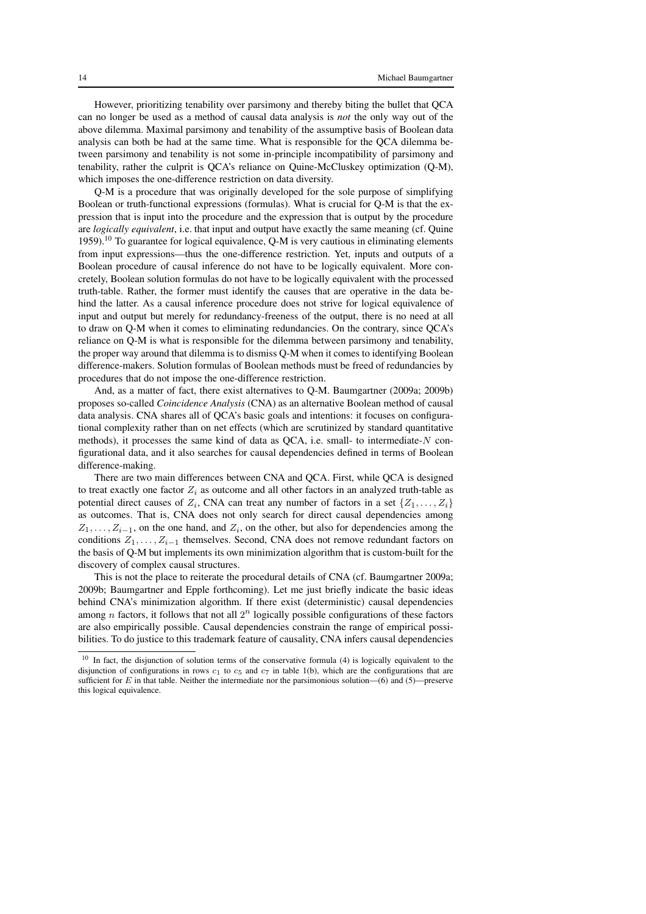However, prioritizing tenability over parsimony and thereby biting the bullet that QCA can no longer be used as a method of causal data analysis is *not* the only way out of the above dilemma. Maximal parsimony and tenability of the assumptive basis of Boolean data analysis can both be had at the same time. What is responsible for the QCA dilemma between parsimony and tenability is not some in-principle incompatibility of parsimony and tenability, rather the culprit is QCA's reliance on Quine-McCluskey optimization (Q-M), which imposes the one-difference restriction on data diversity.

Q-M is a procedure that was originally developed for the sole purpose of simplifying Boolean or truth-functional expressions (formulas). What is crucial for Q-M is that the expression that is input into the procedure and the expression that is output by the procedure are *logically equivalent*, i.e. that input and output have exactly the same meaning (cf. Quine 1959).<sup>10</sup> To guarantee for logical equivalence, Q-M is very cautious in eliminating elements from input expressions—thus the one-difference restriction. Yet, inputs and outputs of a Boolean procedure of causal inference do not have to be logically equivalent. More concretely, Boolean solution formulas do not have to be logically equivalent with the processed truth-table. Rather, the former must identify the causes that are operative in the data behind the latter. As a causal inference procedure does not strive for logical equivalence of input and output but merely for redundancy-freeness of the output, there is no need at all to draw on Q-M when it comes to eliminating redundancies. On the contrary, since QCA's reliance on Q-M is what is responsible for the dilemma between parsimony and tenability, the proper way around that dilemma is to dismiss Q-M when it comes to identifying Boolean difference-makers. Solution formulas of Boolean methods must be freed of redundancies by procedures that do not impose the one-difference restriction.

And, as a matter of fact, there exist alternatives to Q-M. Baumgartner (2009a; 2009b) proposes so-called *Coincidence Analysis* (CNA) as an alternative Boolean method of causal data analysis. CNA shares all of QCA's basic goals and intentions: it focuses on configurational complexity rather than on net effects (which are scrutinized by standard quantitative methods), it processes the same kind of data as  $OCA$ , i.e. small- to intermediate-N configurational data, and it also searches for causal dependencies defined in terms of Boolean difference-making.

There are two main differences between CNA and QCA. First, while QCA is designed to treat exactly one factor  $Z_i$  as outcome and all other factors in an analyzed truth-table as potential direct causes of  $Z_i$ , CNA can treat any number of factors in a set  $\{Z_1, \ldots, Z_i\}$ as outcomes. That is, CNA does not only search for direct causal dependencies among  $Z_1, \ldots, Z_{i-1}$ , on the one hand, and  $Z_i$ , on the other, but also for dependencies among the conditions  $Z_1, \ldots, Z_{i-1}$  themselves. Second, CNA does not remove redundant factors on the basis of Q-M but implements its own minimization algorithm that is custom-built for the discovery of complex causal structures.

This is not the place to reiterate the procedural details of CNA (cf. Baumgartner 2009a; 2009b; Baumgartner and Epple forthcoming). Let me just briefly indicate the basic ideas behind CNA's minimization algorithm. If there exist (deterministic) causal dependencies among *n* factors, it follows that not all  $2^n$  logically possible configurations of these factors are also empirically possible. Causal dependencies constrain the range of empirical possibilities. To do justice to this trademark feature of causality, CNA infers causal dependencies

 $10$  In fact, the disjunction of solution terms of the conservative formula (4) is logically equivalent to the disjunction of configurations in rows  $c_1$  to  $c_5$  and  $c_7$  in table 1(b), which are the configurations that are sufficient for  $E$  in that table. Neither the intermediate nor the parsimonious solution—(6) and (5)—preserve this logical equivalence.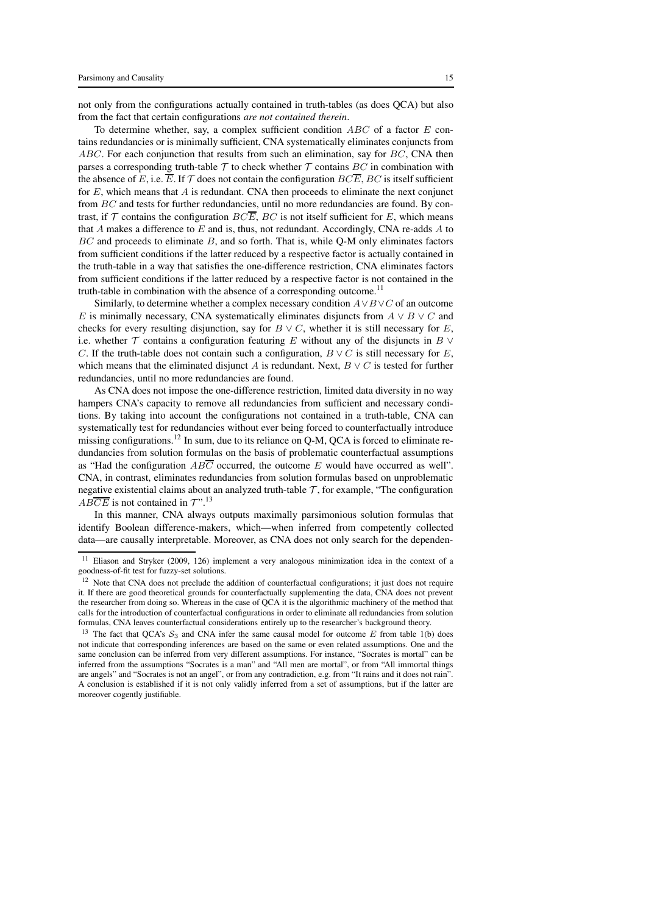not only from the configurations actually contained in truth-tables (as does QCA) but also from the fact that certain configurations *are not contained therein*.

To determine whether, say, a complex sufficient condition  $ABC$  of a factor  $E$  contains redundancies or is minimally sufficient, CNA systematically eliminates conjuncts from  $ABC$ . For each conjunction that results from such an elimination, say for  $BC$ . CNA then parses a corresponding truth-table  $\mathcal T$  to check whether  $\mathcal T$  contains  $BC$  in combination with the absence of E, i.e.  $\overline{E}$ . If T does not contain the configuration  $BC\overline{E}$ , BC is itself sufficient for  $E$ , which means that  $A$  is redundant. CNA then proceeds to eliminate the next conjunct from BC and tests for further redundancies, until no more redundancies are found. By contrast, if T contains the configuration  $BC\overline{E}$ ,  $BC$  is not itself sufficient for E, which means that A makes a difference to  $E$  and is, thus, not redundant. Accordingly, CNA re-adds  $\Lambda$  to  $BC$  and proceeds to eliminate  $B$ , and so forth. That is, while Q-M only eliminates factors from sufficient conditions if the latter reduced by a respective factor is actually contained in the truth-table in a way that satisfies the one-difference restriction, CNA eliminates factors from sufficient conditions if the latter reduced by a respective factor is not contained in the truth-table in combination with the absence of a corresponding outcome.<sup>11</sup>

Similarly, to determine whether a complex necessary condition  $A \vee B \vee C$  of an outcome E is minimally necessary, CNA systematically eliminates disjuncts from  $A \vee B \vee C$  and checks for every resulting disjunction, say for  $B \vee C$ , whether it is still necessary for E, i.e. whether  $\tau$  contains a configuration featuring E without any of the disjuncts in B  $\vee$ C. If the truth-table does not contain such a configuration,  $B \vee C$  is still necessary for E, which means that the eliminated disjunct A is redundant. Next,  $B \vee C$  is tested for further redundancies, until no more redundancies are found.

As CNA does not impose the one-difference restriction, limited data diversity in no way hampers CNA's capacity to remove all redundancies from sufficient and necessary conditions. By taking into account the configurations not contained in a truth-table, CNA can systematically test for redundancies without ever being forced to counterfactually introduce missing configurations.<sup>12</sup> In sum, due to its reliance on  $Q-M$ ,  $QCA$  is forced to eliminate redundancies from solution formulas on the basis of problematic counterfactual assumptions as "Had the configuration  $AB\overline{C}$  occurred, the outcome E would have occurred as well". CNA, in contrast, eliminates redundancies from solution formulas based on unproblematic negative existential claims about an analyzed truth-table  $\mathcal T$ , for example, "The configuration  $AB\overline{CE}$  is not contained in  $\mathcal{T}^{13}$ 

In this manner, CNA always outputs maximally parsimonious solution formulas that identify Boolean difference-makers, which—when inferred from competently collected data—are causally interpretable. Moreover, as CNA does not only search for the dependen-

Eliason and Stryker (2009, 126) implement a very analogous minimization idea in the context of a goodness-of-fit test for fuzzy-set solutions.

 $12$  Note that CNA does not preclude the addition of counterfactual configurations; it just does not require it. If there are good theoretical grounds for counterfactually supplementing the data, CNA does not prevent the researcher from doing so. Whereas in the case of QCA it is the algorithmic machinery of the method that calls for the introduction of counterfactual configurations in order to eliminate all redundancies from solution formulas, CNA leaves counterfactual considerations entirely up to the researcher's background theory.

<sup>&</sup>lt;sup>13</sup> The fact that QCA's  $S_3$  and CNA infer the same causal model for outcome E from table 1(b) does not indicate that corresponding inferences are based on the same or even related assumptions. One and the same conclusion can be inferred from very different assumptions. For instance, "Socrates is mortal" can be inferred from the assumptions "Socrates is a man" and "All men are mortal", or from "All immortal things are angels" and "Socrates is not an angel", or from any contradiction, e.g. from "It rains and it does not rain". A conclusion is established if it is not only validly inferred from a set of assumptions, but if the latter are moreover cogently justifiable.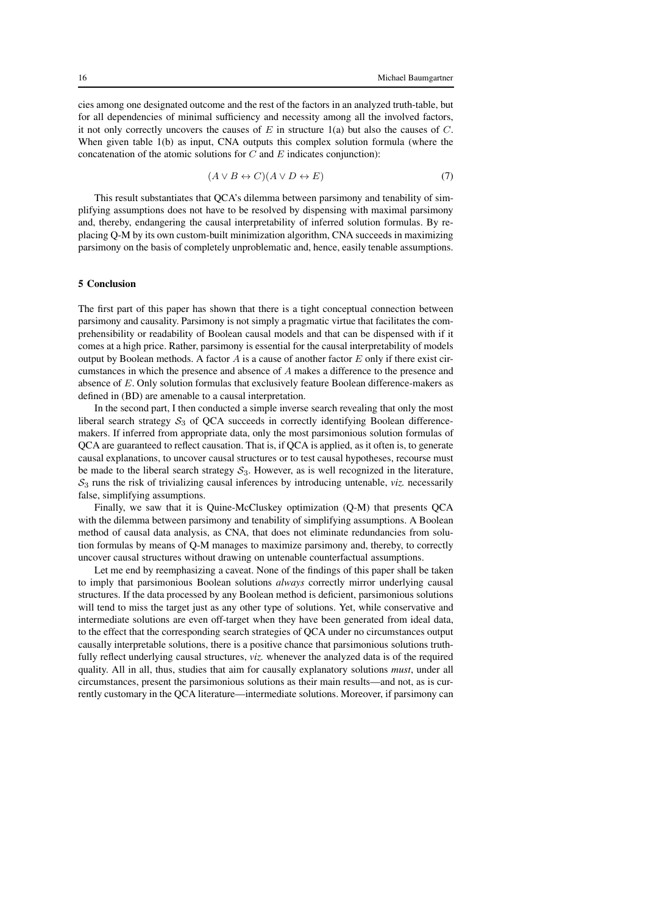cies among one designated outcome and the rest of the factors in an analyzed truth-table, but for all dependencies of minimal sufficiency and necessity among all the involved factors, it not only correctly uncovers the causes of  $E$  in structure 1(a) but also the causes of  $C$ . When given table 1(b) as input, CNA outputs this complex solution formula (where the concatenation of the atomic solutions for  $C$  and  $E$  indicates conjunction):

$$
(A \lor B \leftrightarrow C)(A \lor D \leftrightarrow E) \tag{7}
$$

This result substantiates that QCA's dilemma between parsimony and tenability of simplifying assumptions does not have to be resolved by dispensing with maximal parsimony and, thereby, endangering the causal interpretability of inferred solution formulas. By replacing Q-M by its own custom-built minimization algorithm, CNA succeeds in maximizing parsimony on the basis of completely unproblematic and, hence, easily tenable assumptions.

# 5 Conclusion

The first part of this paper has shown that there is a tight conceptual connection between parsimony and causality. Parsimony is not simply a pragmatic virtue that facilitates the comprehensibility or readability of Boolean causal models and that can be dispensed with if it comes at a high price. Rather, parsimony is essential for the causal interpretability of models output by Boolean methods. A factor  $A$  is a cause of another factor  $E$  only if there exist circumstances in which the presence and absence of A makes a difference to the presence and absence of E. Only solution formulas that exclusively feature Boolean difference-makers as defined in (BD) are amenable to a causal interpretation.

In the second part, I then conducted a simple inverse search revealing that only the most liberal search strategy  $S_3$  of QCA succeeds in correctly identifying Boolean differencemakers. If inferred from appropriate data, only the most parsimonious solution formulas of QCA are guaranteed to reflect causation. That is, if QCA is applied, as it often is, to generate causal explanations, to uncover causal structures or to test causal hypotheses, recourse must be made to the liberal search strategy  $S_3$ . However, as is well recognized in the literature,  $S_3$  runs the risk of trivializing causal inferences by introducing untenable, *viz.* necessarily false, simplifying assumptions.

Finally, we saw that it is Quine-McCluskey optimization (Q-M) that presents QCA with the dilemma between parsimony and tenability of simplifying assumptions. A Boolean method of causal data analysis, as CNA, that does not eliminate redundancies from solution formulas by means of Q-M manages to maximize parsimony and, thereby, to correctly uncover causal structures without drawing on untenable counterfactual assumptions.

Let me end by reemphasizing a caveat. None of the findings of this paper shall be taken to imply that parsimonious Boolean solutions *always* correctly mirror underlying causal structures. If the data processed by any Boolean method is deficient, parsimonious solutions will tend to miss the target just as any other type of solutions. Yet, while conservative and intermediate solutions are even off-target when they have been generated from ideal data, to the effect that the corresponding search strategies of QCA under no circumstances output causally interpretable solutions, there is a positive chance that parsimonious solutions truthfully reflect underlying causal structures, *viz.* whenever the analyzed data is of the required quality. All in all, thus, studies that aim for causally explanatory solutions *must*, under all circumstances, present the parsimonious solutions as their main results—and not, as is currently customary in the QCA literature—intermediate solutions. Moreover, if parsimony can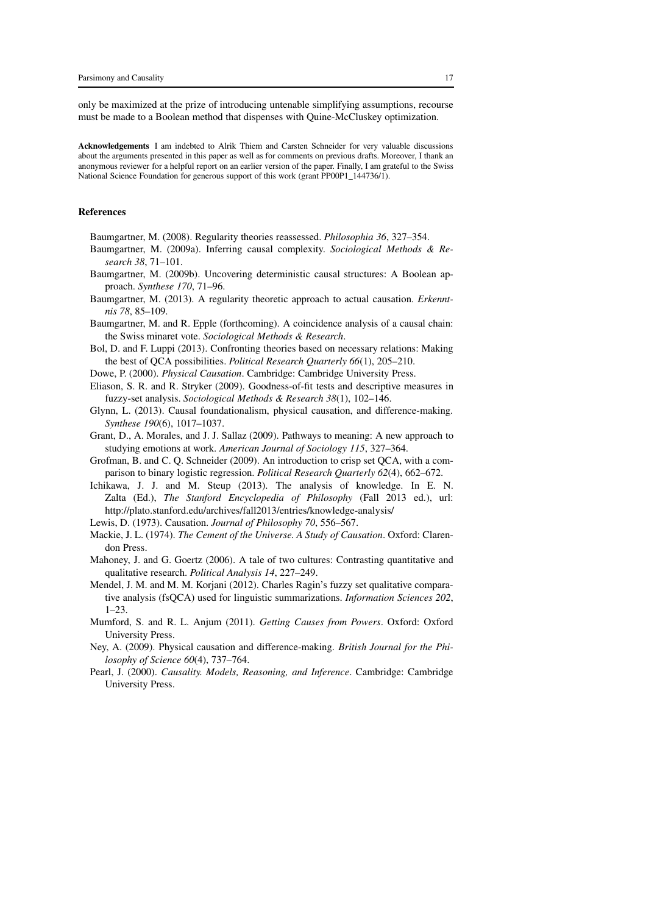only be maximized at the prize of introducing untenable simplifying assumptions, recourse must be made to a Boolean method that dispenses with Quine-McCluskey optimization.

Acknowledgements I am indebted to Alrik Thiem and Carsten Schneider for very valuable discussions about the arguments presented in this paper as well as for comments on previous drafts. Moreover, I thank an anonymous reviewer for a helpful report on an earlier version of the paper. Finally, I am grateful to the Swiss National Science Foundation for generous support of this work (grant PP00P1\_144736/1).

# **References**

- Baumgartner, M. (2008). Regularity theories reassessed. *Philosophia 36*, 327–354.
- Baumgartner, M. (2009a). Inferring causal complexity. *Sociological Methods & Research 38*, 71–101.
- Baumgartner, M. (2009b). Uncovering deterministic causal structures: A Boolean approach. *Synthese 170*, 71–96.
- Baumgartner, M. (2013). A regularity theoretic approach to actual causation. *Erkenntnis 78*, 85–109.
- Baumgartner, M. and R. Epple (forthcoming). A coincidence analysis of a causal chain: the Swiss minaret vote. *Sociological Methods & Research*.
- Bol, D. and F. Luppi (2013). Confronting theories based on necessary relations: Making the best of QCA possibilities. *Political Research Quarterly 66*(1), 205–210.
- Dowe, P. (2000). *Physical Causation*. Cambridge: Cambridge University Press.
- Eliason, S. R. and R. Stryker (2009). Goodness-of-fit tests and descriptive measures in fuzzy-set analysis. *Sociological Methods & Research 38*(1), 102–146.
- Glynn, L. (2013). Causal foundationalism, physical causation, and difference-making. *Synthese 190*(6), 1017–1037.
- Grant, D., A. Morales, and J. J. Sallaz (2009). Pathways to meaning: A new approach to studying emotions at work. *American Journal of Sociology 115*, 327–364.
- Grofman, B. and C. Q. Schneider (2009). An introduction to crisp set QCA, with a comparison to binary logistic regression. *Political Research Quarterly 62*(4), 662–672.
- Ichikawa, J. J. and M. Steup (2013). The analysis of knowledge. In E. N. Zalta (Ed.), *The Stanford Encyclopedia of Philosophy* (Fall 2013 ed.), url: http://plato.stanford.edu/archives/fall2013/entries/knowledge-analysis/
- Lewis, D. (1973). Causation. *Journal of Philosophy 70*, 556–567.
- Mackie, J. L. (1974). *The Cement of the Universe. A Study of Causation*. Oxford: Clarendon Press.
- Mahoney, J. and G. Goertz (2006). A tale of two cultures: Contrasting quantitative and qualitative research. *Political Analysis 14*, 227–249.
- Mendel, J. M. and M. M. Korjani (2012). Charles Ragin's fuzzy set qualitative comparative analysis (fsQCA) used for linguistic summarizations. *Information Sciences 202*, 1–23.
- Mumford, S. and R. L. Anjum (2011). *Getting Causes from Powers*. Oxford: Oxford University Press.
- Ney, A. (2009). Physical causation and difference-making. *British Journal for the Philosophy of Science 60*(4), 737–764.
- Pearl, J. (2000). *Causality. Models, Reasoning, and Inference*. Cambridge: Cambridge University Press.